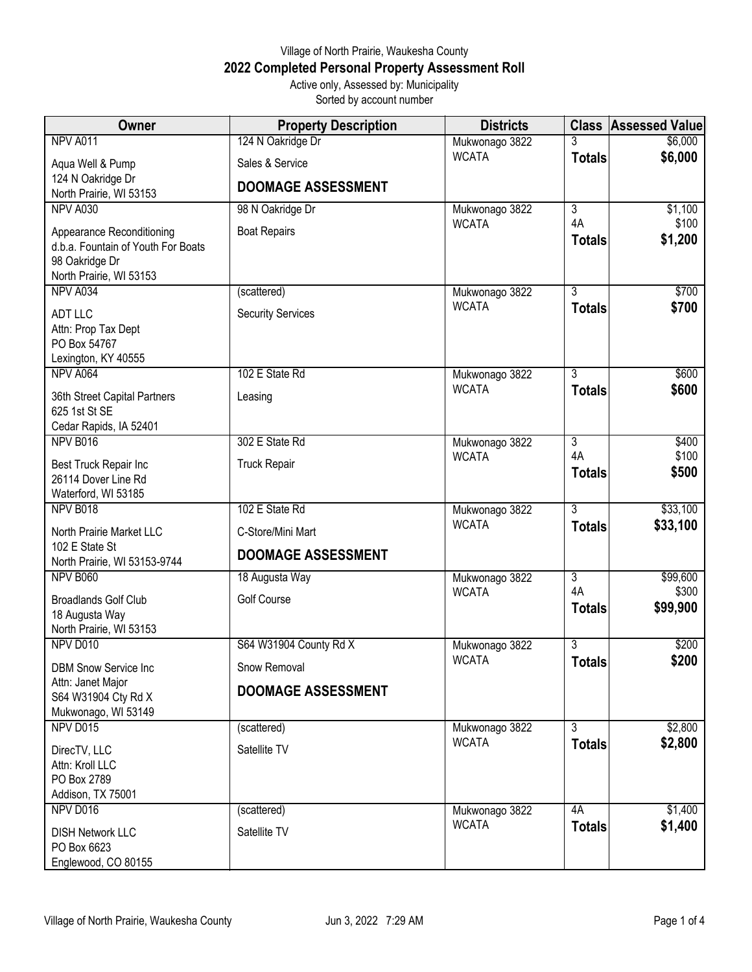## Village of North Prairie, Waukesha County **2022 Completed Personal Property Assessment Roll** Active only, Assessed by: Municipality

Sorted by account number

| Owner                                                | <b>Property Description</b> | <b>Districts</b>               |                      | <b>Class Assessed Value</b> |
|------------------------------------------------------|-----------------------------|--------------------------------|----------------------|-----------------------------|
| NPV A011                                             | 124 N Oakridge Dr           | Mukwonago 3822                 | 3                    | \$6,000                     |
| Aqua Well & Pump                                     | Sales & Service             | <b>WCATA</b>                   | <b>Totals</b>        | \$6,000                     |
| 124 N Oakridge Dr                                    | <b>DOOMAGE ASSESSMENT</b>   |                                |                      |                             |
| North Prairie, WI 53153                              |                             |                                |                      |                             |
| NPV A030                                             | 98 N Oakridge Dr            | Mukwonago 3822<br><b>WCATA</b> | $\overline{3}$<br>4A | \$1,100<br>\$100            |
| Appearance Reconditioning                            | <b>Boat Repairs</b>         |                                | <b>Totals</b>        | \$1,200                     |
| d.b.a. Fountain of Youth For Boats<br>98 Oakridge Dr |                             |                                |                      |                             |
| North Prairie, WI 53153                              |                             |                                |                      |                             |
| NPV A034                                             | (scattered)                 | Mukwonago 3822                 | $\overline{3}$       | \$700                       |
| <b>ADT LLC</b>                                       | <b>Security Services</b>    | <b>WCATA</b>                   | <b>Totals</b>        | \$700                       |
| Attn: Prop Tax Dept                                  |                             |                                |                      |                             |
| PO Box 54767<br>Lexington, KY 40555                  |                             |                                |                      |                             |
| NPV A064                                             | 102 E State Rd              | Mukwonago 3822                 | $\overline{3}$       | \$600                       |
| 36th Street Capital Partners                         | Leasing                     | <b>WCATA</b>                   | <b>Totals</b>        | \$600                       |
| 625 1st St SE                                        |                             |                                |                      |                             |
| Cedar Rapids, IA 52401                               |                             |                                |                      |                             |
| NPV B016                                             | 302 E State Rd              | Mukwonago 3822<br><b>WCATA</b> | $\overline{3}$<br>4A | \$400<br>\$100              |
| Best Truck Repair Inc                                | <b>Truck Repair</b>         |                                | <b>Totals</b>        | \$500                       |
| 26114 Dover Line Rd<br>Waterford, WI 53185           |                             |                                |                      |                             |
| NPV B018                                             | 102 E State Rd              | Mukwonago 3822                 | $\overline{3}$       | \$33,100                    |
| North Prairie Market LLC                             | C-Store/Mini Mart           | <b>WCATA</b>                   | <b>Totals</b>        | \$33,100                    |
| 102 E State St                                       | <b>DOOMAGE ASSESSMENT</b>   |                                |                      |                             |
| North Prairie, WI 53153-9744                         |                             |                                |                      |                             |
| <b>NPV B060</b>                                      | 18 Augusta Way              | Mukwonago 3822<br><b>WCATA</b> | $\overline{3}$<br>4A | \$99,600<br>\$300           |
| <b>Broadlands Golf Club</b><br>18 Augusta Way        | <b>Golf Course</b>          |                                | <b>Totals</b>        | \$99,900                    |
| North Prairie, WI 53153                              |                             |                                |                      |                             |
| NPV D010                                             | S64 W31904 County Rd X      | Mukwonago 3822                 | $\overline{3}$       | \$200                       |
| <b>DBM Snow Service Inc</b>                          | Snow Removal                | <b>WCATA</b>                   | <b>Totals</b>        | \$200                       |
| Attn: Janet Major                                    | <b>DOOMAGE ASSESSMENT</b>   |                                |                      |                             |
| S64 W31904 Cty Rd X<br>Mukwonago, WI 53149           |                             |                                |                      |                             |
| NPV D015                                             | (scattered)                 | Mukwonago 3822                 | 3                    | \$2,800                     |
| DirecTV, LLC                                         | Satellite TV                | <b>WCATA</b>                   | <b>Totals</b>        | \$2,800                     |
| Attn: Kroll LLC                                      |                             |                                |                      |                             |
| PO Box 2789                                          |                             |                                |                      |                             |
| Addison, TX 75001<br>NPV D016                        | (scattered)                 | Mukwonago 3822                 | 4A                   | \$1,400                     |
|                                                      |                             | <b>WCATA</b>                   | <b>Totals</b>        | \$1,400                     |
| <b>DISH Network LLC</b><br>PO Box 6623               | Satellite TV                |                                |                      |                             |
| Englewood, CO 80155                                  |                             |                                |                      |                             |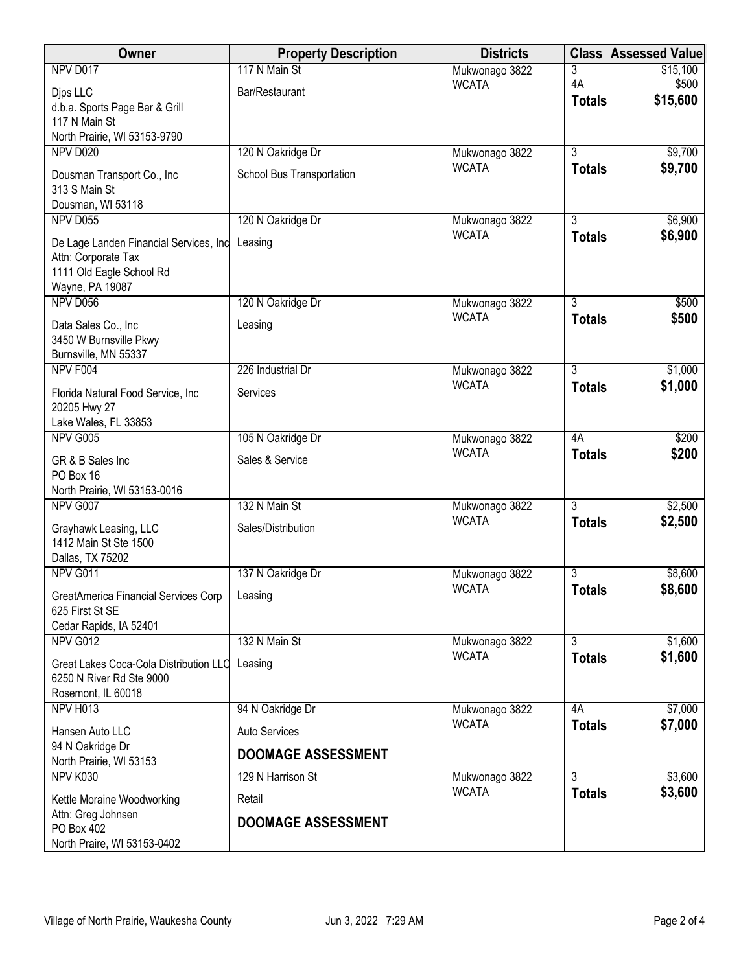| Owner                                         | <b>Property Description</b> | <b>Districts</b>               | <b>Class</b>   | <b>Assessed Value</b> |
|-----------------------------------------------|-----------------------------|--------------------------------|----------------|-----------------------|
| NPV D017                                      | 117 N Main St               | Mukwonago 3822                 | 3              | \$15,100              |
| Djps LLC                                      | Bar/Restaurant              | <b>WCATA</b>                   | 4A             | \$500<br>\$15,600     |
| d.b.a. Sports Page Bar & Grill                |                             |                                | <b>Totals</b>  |                       |
| 117 N Main St<br>North Prairie, WI 53153-9790 |                             |                                |                |                       |
| <b>NPV D020</b>                               | 120 N Oakridge Dr           | Mukwonago 3822                 | $\overline{3}$ | \$9,700               |
|                                               |                             | <b>WCATA</b>                   | <b>Totals</b>  | \$9,700               |
| Dousman Transport Co., Inc<br>313 S Main St   | School Bus Transportation   |                                |                |                       |
| Dousman, WI 53118                             |                             |                                |                |                       |
| NPV D055                                      | 120 N Oakridge Dr           | Mukwonago 3822                 | $\overline{3}$ | \$6,900               |
| De Lage Landen Financial Services, Inc        | Leasing                     | <b>WCATA</b>                   | <b>Totals</b>  | \$6,900               |
| Attn: Corporate Tax                           |                             |                                |                |                       |
| 1111 Old Eagle School Rd                      |                             |                                |                |                       |
| Wayne, PA 19087                               |                             |                                |                |                       |
| NPV D056                                      | 120 N Oakridge Dr           | Mukwonago 3822                 | $\overline{3}$ | \$500                 |
| Data Sales Co., Inc                           | Leasing                     | <b>WCATA</b>                   | <b>Totals</b>  | \$500                 |
| 3450 W Burnsville Pkwy                        |                             |                                |                |                       |
| Burnsville, MN 55337<br>NPV F004              | 226 Industrial Dr           |                                | $\overline{3}$ | \$1,000               |
|                                               |                             | Mukwonago 3822<br><b>WCATA</b> | <b>Totals</b>  | \$1,000               |
| Florida Natural Food Service, Inc.            | Services                    |                                |                |                       |
| 20205 Hwy 27<br>Lake Wales, FL 33853          |                             |                                |                |                       |
| NPV G005                                      | 105 N Oakridge Dr           | Mukwonago 3822                 | 4A             | \$200                 |
|                                               |                             | <b>WCATA</b>                   | <b>Totals</b>  | \$200                 |
| GR & B Sales Inc<br>PO Box 16                 | Sales & Service             |                                |                |                       |
| North Prairie, WI 53153-0016                  |                             |                                |                |                       |
| NPV G007                                      | 132 N Main St               | Mukwonago 3822                 | $\overline{3}$ | \$2,500               |
| Grayhawk Leasing, LLC                         | Sales/Distribution          | <b>WCATA</b>                   | <b>Totals</b>  | \$2,500               |
| 1412 Main St Ste 1500                         |                             |                                |                |                       |
| Dallas, TX 75202                              |                             |                                |                |                       |
| NPV G011                                      | 137 N Oakridge Dr           | Mukwonago 3822                 | $\overline{3}$ | \$8,600               |
| <b>GreatAmerica Financial Services Corp</b>   | Leasing                     | <b>WCATA</b>                   | <b>Totals</b>  | \$8,600               |
| 625 First St SE                               |                             |                                |                |                       |
| Cedar Rapids, IA 52401                        |                             |                                |                |                       |
| NPV G012                                      | 132 N Main St               | Mukwonago 3822<br><b>WCATA</b> | $\overline{3}$ | \$1,600               |
| Great Lakes Coca-Cola Distribution LLC        | Leasing                     |                                | <b>Totals</b>  | \$1,600               |
| 6250 N River Rd Ste 9000                      |                             |                                |                |                       |
| Rosemont, IL 60018<br>NPV H013                | 94 N Oakridge Dr            | Mukwonago 3822                 | 4A             | \$7,000               |
|                                               |                             | <b>WCATA</b>                   | <b>Totals</b>  | \$7,000               |
| Hansen Auto LLC<br>94 N Oakridge Dr           | <b>Auto Services</b>        |                                |                |                       |
| North Prairie, WI 53153                       | <b>DOOMAGE ASSESSMENT</b>   |                                |                |                       |
| NPV K030                                      | 129 N Harrison St           | Mukwonago 3822                 | $\overline{3}$ | \$3,600               |
| Kettle Moraine Woodworking                    | Retail                      | <b>WCATA</b>                   | <b>Totals</b>  | \$3,600               |
| Attn: Greg Johnsen                            |                             |                                |                |                       |
| PO Box 402                                    | <b>DOOMAGE ASSESSMENT</b>   |                                |                |                       |
| North Praire, WI 53153-0402                   |                             |                                |                |                       |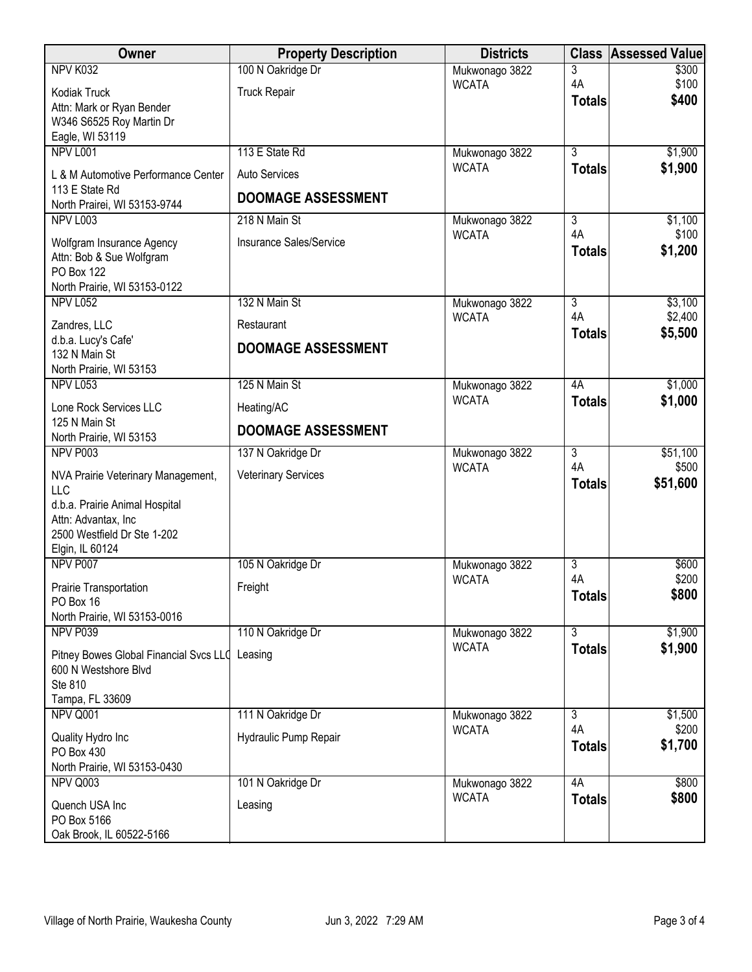| Owner                                                                      | <b>Property Description</b> | <b>Districts</b>               | <b>Class</b>         | <b>Assessed Value</b> |
|----------------------------------------------------------------------------|-----------------------------|--------------------------------|----------------------|-----------------------|
| NPV K032                                                                   | 100 N Oakridge Dr           | Mukwonago 3822                 | 3                    | \$300                 |
| Kodiak Truck                                                               | <b>Truck Repair</b>         | <b>WCATA</b>                   | 4A                   | \$100<br>\$400        |
| Attn: Mark or Ryan Bender                                                  |                             |                                | <b>Totals</b>        |                       |
| W346 S6525 Roy Martin Dr                                                   |                             |                                |                      |                       |
| Eagle, WI 53119<br>NPV L001                                                | 113 E State Rd              | Mukwonago 3822                 | $\overline{3}$       | \$1,900               |
|                                                                            |                             | <b>WCATA</b>                   | <b>Totals</b>        | \$1,900               |
| L & M Automotive Performance Center<br>113 E State Rd                      | <b>Auto Services</b>        |                                |                      |                       |
| North Prairei, WI 53153-9744                                               | <b>DOOMAGE ASSESSMENT</b>   |                                |                      |                       |
| <b>NPV L003</b>                                                            | 218 N Main St               | Mukwonago 3822                 | $\overline{3}$       | \$1,100               |
| Wolfgram Insurance Agency<br>Attn: Bob & Sue Wolfgram<br><b>PO Box 122</b> | Insurance Sales/Service     | <b>WCATA</b>                   | 4A<br><b>Totals</b>  | \$100<br>\$1,200      |
| North Prairie, WI 53153-0122                                               |                             |                                |                      |                       |
| <b>NPV L052</b>                                                            | 132 N Main St               | Mukwonago 3822                 | $\overline{3}$       | \$3,100               |
| Zandres, LLC                                                               | Restaurant                  | <b>WCATA</b>                   | 4A<br><b>Totals</b>  | \$2,400<br>\$5,500    |
| d.b.a. Lucy's Cafe'                                                        | <b>DOOMAGE ASSESSMENT</b>   |                                |                      |                       |
| 132 N Main St<br>North Prairie, WI 53153                                   |                             |                                |                      |                       |
| <b>NPV L053</b>                                                            | 125 N Main St               | Mukwonago 3822                 | 4A                   | \$1,000               |
| Lone Rock Services LLC                                                     | Heating/AC                  | <b>WCATA</b>                   | <b>Totals</b>        | \$1,000               |
| 125 N Main St                                                              | <b>DOOMAGE ASSESSMENT</b>   |                                |                      |                       |
| North Prairie, WI 53153                                                    |                             |                                |                      |                       |
| NPV P003                                                                   | 137 N Oakridge Dr           | Mukwonago 3822<br><b>WCATA</b> | $\overline{3}$<br>4A | \$51,100<br>\$500     |
| NVA Prairie Veterinary Management,<br><b>LLC</b>                           | <b>Veterinary Services</b>  |                                | <b>Totals</b>        | \$51,600              |
| d.b.a. Prairie Animal Hospital                                             |                             |                                |                      |                       |
| Attn: Advantax, Inc                                                        |                             |                                |                      |                       |
| 2500 Westfield Dr Ste 1-202<br>Elgin, IL 60124                             |                             |                                |                      |                       |
| NPV P007                                                                   | 105 N Oakridge Dr           | Mukwonago 3822                 | $\overline{3}$       | \$600                 |
|                                                                            | Freight                     | <b>WCATA</b>                   | 4A                   | \$200                 |
| <b>Prairie Transportation</b><br>PO Box 16                                 |                             |                                | <b>Totals</b>        | \$800                 |
| North Prairie, WI 53153-0016                                               |                             |                                |                      |                       |
| NPV P039                                                                   | 110 N Oakridge Dr           | Mukwonago 3822                 | $\overline{3}$       | \$1,900               |
| Pitney Bowes Global Financial Svcs LLC                                     | Leasing                     | <b>WCATA</b>                   | <b>Totals</b>        | \$1,900               |
| 600 N Westshore Blvd                                                       |                             |                                |                      |                       |
| Ste 810                                                                    |                             |                                |                      |                       |
| Tampa, FL 33609<br>NPV Q001                                                | 111 N Oakridge Dr           | Mukwonago 3822                 | 3                    | \$1,500               |
|                                                                            |                             | <b>WCATA</b>                   | 4A                   | \$200                 |
| Quality Hydro Inc<br>PO Box 430                                            | Hydraulic Pump Repair       |                                | <b>Totals</b>        | \$1,700               |
| North Prairie, WI 53153-0430                                               |                             |                                |                      |                       |
| NPV Q003                                                                   | 101 N Oakridge Dr           | Mukwonago 3822                 | 4A                   | \$800                 |
| Quench USA Inc                                                             | Leasing                     | <b>WCATA</b>                   | <b>Totals</b>        | \$800                 |
| PO Box 5166                                                                |                             |                                |                      |                       |
| Oak Brook, IL 60522-5166                                                   |                             |                                |                      |                       |